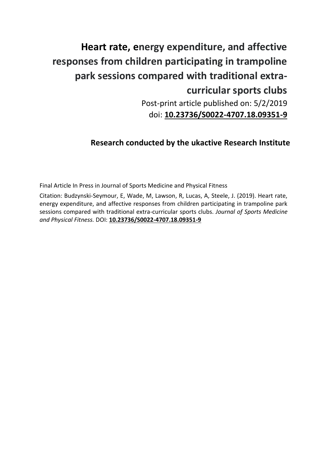# **Heart rate, energy expenditure, and affective responses from children participating in trampoline park sessions compared with traditional extracurricular sports clubs**

Post-print article published on: 5/2/2019 doi: **[10.23736/S0022-4707.18.09351-9](https://doi.org/10.23736/S0022-4707.18.09351-9)**

# **Research conducted by the ukactive Research Institute**

Final Article In Press in Journal of Sports Medicine and Physical Fitness

Citation: Budzynski-Seymour, E, Wade, M, Lawson, R, Lucas, A, Steele, J. (2019). Heart rate, energy expenditure, and affective responses from children participating in trampoline park sessions compared with traditional extra-curricular sports clubs. *Journal of Sports Medicine and Physical Fitness.* DOI: **[10.23736/S0022-4707.18.09351-9](https://doi.org/10.23736/S0022-4707.18.09351-9)**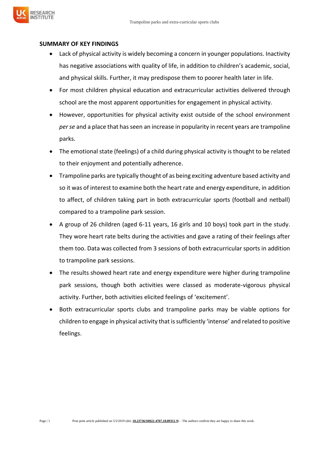#### **SUMMARY OF KEY FINDINGS**

FSFARCH

- Lack of physical activity is widely becoming a concern in younger populations. Inactivity has negative associations with quality of life, in addition to children's academic, social, and physical skills. Further, it may predispose them to poorer health later in life.
- For most children physical education and extracurricular activities delivered through school are the most apparent opportunities for engagement in physical activity.
- However, opportunities for physical activity exist outside of the school environment *per se* and a place that has seen an increase in popularity in recent years are trampoline parks.
- The emotional state (feelings) of a child during physical activity is thought to be related to their enjoyment and potentially adherence.
- Trampoline parks are typically thought of as being exciting adventure based activity and so it was of interest to examine both the heart rate and energy expenditure, in addition to affect, of children taking part in both extracurricular sports (football and netball) compared to a trampoline park session.
- A group of 26 children (aged 6-11 years, 16 girls and 10 boys) took part in the study. They wore heart rate belts during the activities and gave a rating of their feelings after them too. Data was collected from 3 sessions of both extracurricular sports in addition to trampoline park sessions.
- The results showed heart rate and energy expenditure were higher during trampoline park sessions, though both activities were classed as moderate-vigorous physical activity. Further, both activities elicited feelings of 'excitement'.
- Both extracurricular sports clubs and trampoline parks may be viable options for children to engage in physical activity that is sufficiently 'intense' and related to positive feelings.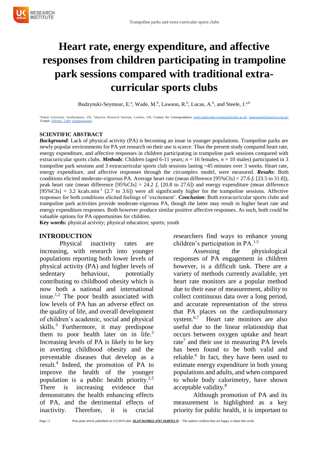# **Heart rate, energy expenditure, and affective responses from children participating in trampoline park sessions compared with traditional extracurricular sports clubs**

Budzynski-Seymour, E.<sup>a</sup>, Wade, M.<sup>b</sup>, Lawson, R.<sup>b</sup>, Lucas, A.<sup>b</sup>, and Steele, J.<sup>a,b</sup>

aSolent University, Southampton, UK; bukactive Research Institute, London, UK; Contact for Correspondence [emily.budzynski-seymour@solent.ac.uk;](mailto:emily.budzynski-seymour@solent.ac.uk) jamessteele@ukactive.org.uk; Twitt[er: @Emily\\_CBS; @jamessteeleii](https://twitter.com/JamesSteeleII)

#### **SCIENTIFIC ABSTRACT**

*Background*: Lack of physical activity (PA) is becoming an issue in younger populations. Trampoline parks are newly popular environments for PA yet research on their use is scarce. Thus the present study compared heart rate, energy expenditure, and affective responses in children participating in trampoline park sessions compared with extracurricular sports clubs. *Methods*: Children (aged 6-11 years; *n* = 16 females, *n* = 10 males) participated in 3 trampoline park sessions and 3 extracurricular sports club sessions lasting ~45 minutes over 3 weeks. Heart rate, energy expenditure, and affective responses through the circumplex model, were measured. *Results*: Both conditions elicited moderate-vigorous PA. Average heart rate (mean difference [95%CIs] = 27.6 *f*<sup>c</sup> [23.5 to 31.8]), peak heart rate (mean difference [95%CIs] = 24.2 *f*<sup>c</sup> [20.8 to 27.6]) and energy expenditure (mean difference  $[95\% \text{CIs}] = 3.2 \text{ kcals.}$ min<sup>-1</sup> [2.7 to 3.6]) were all significantly higher for the trampoline sessions. Affective responses for both conditions elicited feelings of 'excitement'. *Conclusion*: Both extracurricular sports clubs and trampoline park activities provide moderate-vigorous PA, though the latter may result in higher heart rate and energy expenditure responses. Both however produce similar positive affective responses. As such, both could be valuable options for PA opportunities for children.

**Key words:** physical activity; physical education; sports; youth

#### **INTRODUCTION**

Physical inactivity rates are increasing, with research into younger populations reporting both lower levels of physical activity (PA) and higher levels of sedentary behaviour, potentially contributing to childhood obesity which is now both a national and international issue.<sup>1,2</sup> The poor health associated with low levels of PA has an adverse effect on the quality of life, and overall development of children's academic, social and physical skills.<sup>3</sup> Furthermore, it may predispose them to poor health later on in life.<sup>3</sup> Increasing levels of PA is likely to be key in averting childhood obesity and the preventable diseases that develop as a result.<sup>4</sup> Indeed, the promotion of PA to improve the health of the younger population is a public health priority.<sup>2,5</sup> There is increasing evidence that demonstrates the health enhancing effects of PA, and the detrimental effects of inactivity. Therefore, it is crucial

researchers find ways to enhance young children's participation in PA.<sup>1,5</sup>

Assessing the physiological responses of PA engagement in children however, is a difficult task. There are a variety of methods currently available, yet heart rate monitors are a popular method due to their ease of measurement, ability to collect continuous data over a long period, and accurate representation of the stress that PA places on the cardiopulmonary system.<sup>6,7</sup> Heart rate monitors are also useful due to the linear relationship that occurs between oxygen uptake and heart rate<sup>7</sup> and their use in measuring PA levels has been found to be both valid and reliable.<sup>6</sup> In fact, they have been used to estimate energy expenditure in both young populations and adults, and when compared to whole body calorimetry, have shown acceptable validity.<sup>8</sup>

Although promotion of PA and its measurement is highlighted as a key priority for public health, it is important to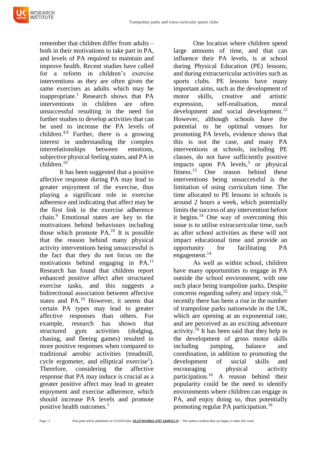

remember that children differ from adults – both in their motivations to take part in PA, and levels of PA required to maintain and improve health. Recent studies have called for a reform in children's exercise interventions as they are often given the same exercises as adults which may be inappropriate.<sup>1</sup> Research shows that PA interventions in children are often unsuccessful resulting in the need for further studies to develop activities that can be used to increase the PA levels of children.4,9 Further, there is a growing interest in understanding the complex interrelationships between emotions, subjective physical feeling states, and PA in children.<sup>10</sup>

It has been suggested that a positive affective response during PA may lead to greater enjoyment of the exercise, thus playing a significant role in exercise adherence and indicating that affect may be the first link in the exercise adherence chain.<sup>9</sup> Emotional states are key to the motivations behind behaviours including those which promote PA.<sup>10</sup> It is possible that the reason behind many physical activity interventions being unsuccessful is the fact that they do not focus on the motivations behind engaging in PA.<sup>11</sup> Research has found that children report enhanced positive affect after structured exercise tasks, and this suggests a bidirectional association between affective states and PA.<sup>10</sup> However, it seems that certain PA types may lead to greater affective responses than others. For example, research has shown that structured gym activities (dodging, chasing, and fleeing games) resulted in more positive responses when compared to traditional aerobic activities (treadmill, cycle ergometer, and elliptical exercise<sup>1</sup>). Therefore, considering the affective response that PA may induce is crucial as a greater positive affect may lead to greater enjoyment and exercise adherence, which should increase PA levels and promote positive health outcomes.<sup>1</sup>

One location where children spend large amounts of time, and that can influence their PA levels, is at school during Physical Education (PE) lessons, and during extracurricular activities such as sports clubs. PE lessons have many important aims, such as the development of motor skills, creative and artistic expression, self-realisation, moral development and social development.<sup>12</sup> However, although schools have the potential to be optimal venues for promoting PA levels, evidence shows that this is not the case, and many PA interventions at schools, including PE classes, do not have sufficiently positive impacts upon PA levels,<sup>5</sup> or physical fitness.<sup>13</sup> One reason behind these interventions being unsuccessful is the limitation of using curriculum time. The time allocated to PE lessons in schools is around 2 hours a week, which potentially limits the success of any intervention before it begins.<sup>14</sup> One way of overcoming this issue is to utilise extracurricular time, such as after school activities as these will not impact educational time and provide an opportunity for facilitating PA engagement.<sup>14</sup>

As well as within school, children have many opportunities to engage in PA outside the school environment, with one such place being trampoline parks. Despite concerns regarding safety and injury risk,  $15$ recently there has been a rise in the number of trampoline parks nationwide in the UK, which are opening at an exponential rate, and are perceived as an exciting adventure activity. <sup>16</sup> It has been said that they help in the development of gross motor skills including jumping, balance and coordination, in addition to promoting the development of social skills and encouraging physical activity participation.<sup>16</sup> A reason behind their popularity could be the need to identify environments where children can engage in PA, and enjoy doing so, thus potentially promoting regular PA participation.<sup>16</sup>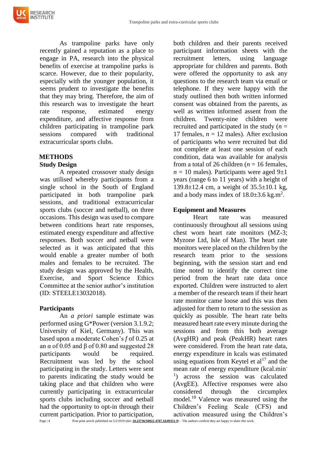As trampoline parks have only recently gained a reputation as a place to engage in PA, research into the physical benefits of exercise at trampoline parks is scarce. However, due to their popularity, especially with the younger population, it seems prudent to investigate the benefits that they may bring. Therefore, the aim of this research was to investigate the heart rate response, estimated energy expenditure, and affective response from children participating in trampoline park sessions compared with traditional extracurricular sports clubs.

## **METHODS**

#### **Study Design**

A repeated crossover study design was utilised whereby participants from a single school in the South of England participated in both trampoline park sessions, and traditional extracurricular sports clubs (soccer and netball), on three occasions. This design was used to compare between conditions heart rate responses, estimated energy expenditure and affective responses. Both soccer and netball were selected as it was anticipated that this would enable a greater number of both males and females to be recruited. The study design was approved by the Health, Exercise, and Sport Science Ethics Committee at the senior author's institution (ID: STEELE13032018).

#### **Participants**

An *a priori* sample estimate was performed using G\*Power (version 3.1.9.2; University of Kiel, Germany). This was based upon a moderate Cohen's *f* of 0.25 at an α of 0.05 and β of 0.80 and suggested 28 participants would be required. Recruitment was led by the school participating in the study. Letters were sent to parents indicating the study would be taking place and that children who were currently participating in extracurricular sports clubs including soccer and netball had the opportunity to opt-in through their current participation. Prior to participation,

both children and their parents received participant information sheets with the recruitment letters, using language appropriate for children and parents. Both were offered the opportunity to ask any questions to the research team via email or telephone. If they were happy with the study outlined then both written informed consent was obtained from the parents, as well as written informed assent from the children. Twenty-nine children were recruited and participated in the study  $(n =$ 17 females,  $n = 12$  males). After exclusion of participants who were recruited but did not complete at least one session of each condition, data was available for analysis from a total of 26 children ( $n = 16$  females,  $n = 10$  males). Participants were aged  $9\pm 1$ years (range 6 to 11 years) with a height of 139.8±12.4 cm, a weight of 35.5±10.1 kg, and a body mass index of  $18.0 \pm 3.6$  kg.m<sup>2</sup>.

## **Equipment and Measures**

Heart rate was measured continuously throughout all sessions using chest worn heart rate monitors (MZ-3; Myzone Ltd, Isle of Man). The heart rate monitors were placed on the children by the research team prior to the sessions beginning, with the session start and end time noted to identify the correct time period from the heart rate data once exported. Children were instructed to alert a member of the research team if their heart rate monitor came loose and this was then adjusted for them to return to the session as quickly as possible. The heart rate belts measured heart rate every minute during the sessions and from this both average (AvgHR) and peak (PeakHR) heart rates were considered. From the heart rate data, energy expenditure in kcals was estimated using equations from Keytel et  $al<sup>17</sup>$  and the mean rate of energy expenditure (kcal.min-<sup>1</sup>) across the session was calculated (AvgEE). Affective responses were also considered through the circumplex model.<sup>18</sup> Valence was measured using the Children's Feeling Scale (CFS) and activation measured using the Children's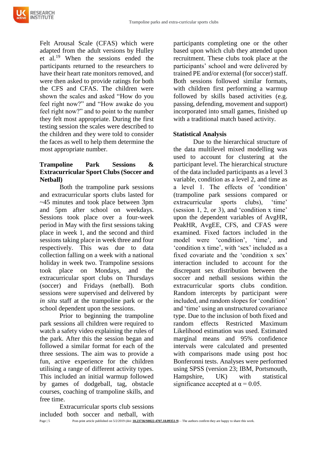

Felt Arousal Scale (CFAS) which were adapted from the adult versions by Hulley et al.<sup>19</sup> When the sessions ended the participants returned to the researchers to have their heart rate monitors removed, and were then asked to provide ratings for both the CFS and CFAS. The children were shown the scales and asked "How do you feel right now?" and "How awake do you feel right now?" and to point to the number they felt most appropriate. During the first testing session the scales were described to the children and they were told to consider the faces as well to help them determine the most appropriate number.

# **Trampoline Park Sessions & Extracurricular Sport Clubs (Soccer and Netball)**

Both the trampoline park sessions and extracurricular sports clubs lasted for ~45 minutes and took place between 3pm and 5pm after school on weekdays. Sessions took place over a four-week period in May with the first sessions taking place in week 1, and the second and third sessions taking place in week three and four respectively. This was due to data collection falling on a week with a national holiday in week two. Trampoline sessions took place on Mondays, and the extracurricular sport clubs on Thursdays (soccer) and Fridays (netball). Both sessions were supervised and delivered by *in situ* staff at the trampoline park or the school dependent upon the sessions.

Prior to beginning the trampoline park sessions all children were required to watch a safety video explaining the rules of the park. After this the session began and followed a similar format for each of the three sessions. The aim was to provide a fun, active experience for the children utilising a range of different activity types. This included an initial warmup followed by games of dodgeball, tag, obstacle courses, coaching of trampoline skills, and free time.

Extracurricular sports club sessions included both soccer and netball, with

participants completing one or the other based upon which club they attended upon recruitment. These clubs took place at the participants' school and were delivered by trained PE and/or external (for soccer) staff. Both sessions followed similar formats, with children first performing a warmup followed by skills based activities (e.g. passing, defending, movement and support) incorporated into small games, finished up with a traditional match based activity.

#### **Statistical Analysis**

Due to the hierarchical structure of the data multilevel mixed modelling was used to account for clustering at the participant level. The hierarchical structure of the data included participants as a level 3 variable, condition as a level 2, and time as a level 1. The effects of 'condition' (trampoline park sessions compared or extracurricular sports clubs), 'time' (session 1, 2, or 3), and 'condition x time' upon the dependent variables of AvgHR, PeakHR, AvgEE, CFS, and CFAS were examined. Fixed factors included in the model were 'condition', 'time', and 'condition x time', with 'sex' included as a fixed covariate and the 'condition x sex' interaction included to account for the discrepant sex distribution between the soccer and netball sessions within the extracurricular sports clubs condition. Random intercepts by participant were included, and random slopes for 'condition' and 'time' using an unstructured covariance type. Due to the inclusion of both fixed and random effects Restricted Maximum Likelihood estimation was used. Estimated marginal means and 95% confidence intervals were calculated and presented with comparisons made using post hoc Bonferonni tests. Analyses were performed using SPSS (version 23; IBM, Portsmouth, Hampshire, UK) with statistical significance accepted at  $\alpha$  = 0.05.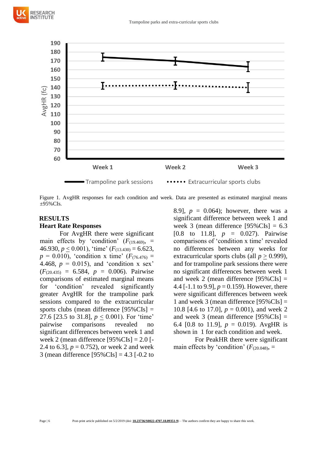

Figure 1. AvgHR responses for each condition and week. Data are presented as estimated marginal means ±95%CIs.

#### **RESULTS**

#### **Heart Rate Responses**

For AvgHR there were significant main effects by 'condition'  $(F_{(19.469)},$ 46.930,  $p < 0.001$ ), 'time' ( $F_{(13,430)} = 6.623$ ,  $p = 0.010$ , 'condition x time' ( $F_{(76.476)} =$ 4.468,  $p = 0.015$ , and 'condition x sex'  $(F_{(20.435)} = 6.584, p = 0.006)$ . Pairwise comparisons of estimated marginal means for 'condition' revealed significantly greater AvgHR for the trampoline park sessions compared to the extracurricular sports clubs (mean difference [95%CIs] = 27.6 [23.5 to 31.8], *p* < 0.001). For 'time' pairwise comparisons revealed no significant differences between week 1 and week 2 (mean difference [95%CIs] = 2.0 [- 2.4 to 6.3],  $p = 0.752$ , or week 2 and week 3 (mean difference [95%CIs] = 4.3 [-0.2 to

8.9],  $p = 0.064$ ; however, there was a significant difference between week 1 and week 3 (mean difference  $[95\%$ CIs] = 6.3 [0.8 to 11.8], *p* = 0.027). Pairwise comparisons of 'condition x time' revealed no differences between any weeks for extracurricular sports clubs (all *p* > 0.999), and for trampoline park sessions there were no significant differences between week 1 and week 2 (mean difference  $[95\%$ CIs] = 4.4 [-1.1 to 9.9],  $p = 0.159$ ). However, there were significant differences between week 1 and week 3 (mean difference  $[95\%$ CIs] = 10.8 [4.6 to 17.0],  $p = 0.001$ ), and week 2 and week 3 (mean difference  $[95\%$ CIs] = 6.4 [0.8 to 11.9],  $p = 0.019$ ). AvgHR is shown in 1 for each condition and week.

For PeakHR there were significant main effects by 'condition'  $(F_{(20.048)}$ , =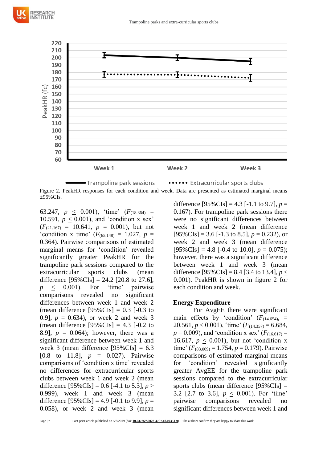

Figure 2. PeakHR responses for each condition and week. Data are presented as estimated marginal means  $\pm 95\%$ CIs.

63.247,  $p \leq 0.001$ ), 'time'  $(F_{(18.364)} =$ 10.591,  $p < 0.001$ ), and 'condition x sex'  $(F_{(21.167)} = 10.641, p = 0.001)$ , but not 'condition x time'  $(F_{(65.148)} = 1.027, p =$ 0.364). Pairwise comparisons of estimated marginal means for 'condition' revealed significantly greater PeakHR for the trampoline park sessions compared to the extracurricular sports clubs (mean difference  $[95\%$ CIs] = 24.2 [20.8 to 27.6]. *p* < 0.001). For 'time' pairwise comparisons revealed no significant differences between week 1 and week 2 (mean difference  $[95\%$ CIs] = 0.3 [-0.3 to 0.9],  $p = 0.634$ , or week 2 and week 3 (mean difference  $[95\% \text{CIs}] = 4.3$  [-0.2 to 8.9],  $p = 0.064$ ; however, there was a significant difference between week 1 and week 3 (mean difference  $[95\% \text{CIs}] = 6.3$ [0.8 to 11.8], *p* = 0.027). Pairwise comparisons of 'condition x time' revealed no differences for extracurricular sports clubs between week 1 and week 2 (mean difference  $[95\%$ CIs] = 0.6 [-4.1 to 5.3], *p* > 0.999), week 1 and week 3 (mean difference  $[95\%$ CIs] = 4.9 [-0.1 to 9.9],  $p =$ 0.058), or week 2 and week 3 (mean

difference  $[95\%$ CIs] = 4.3 [-1.1 to 9.7],  $p =$ 0.167). For trampoline park sessions there were no significant differences between week 1 and week 2 (mean difference  $[95\% \text{CIs}] = 3.6$  [-1.3 to 8.5],  $p = 0.232$ ), or week 2 and week 3 (mean difference  $[95\%$ CIs] = 4.8 [-0.4 to 10.0],  $p = 0.075$ ); however, there was a significant difference between week 1 and week 3 (mean difference  $[95\%$ CIs] = 8.4 [3.4 to 13.4], *p* < 0.001). PeakHR is shown in figure 2 for each condition and week.

#### **Energy Expenditure**

For AvgEE there were significant main effects by 'condition'  $(F<sub>(14.654)</sub>, =$ 20.561,  $p < 0.001$ ), 'time'  $(F_{(14.357)} = 6.684$ ,  $p = 0.009$ ), and 'condition x sex' ( $F_{(16.617)} =$ 16.617,  $p < 0.001$ ), but not 'condition x time'  $(F_{(83.009)} = 1.754, p = 0.179)$ . Pairwise comparisons of estimated marginal means for 'condition' revealed significantly greater AvgEE for the trampoline park sessions compared to the extracurricular sports clubs (mean difference [95%CIs] = 3.2 [2.7 to 3.6], *p* < 0.001). For 'time' pairwise comparisons revealed no significant differences between week 1 and

RESEARCH **NSTITUTE**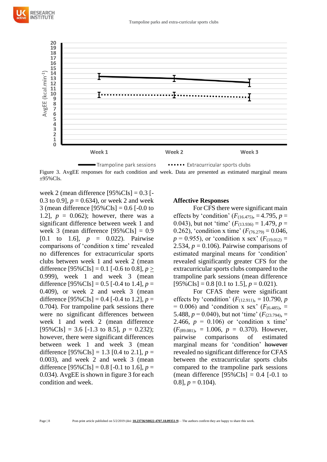



Trampoline park sessions ..... Extracurricular sports clubs Figure 3. AvgEE responses for each condition and week. Data are presented as estimated marginal means  $+95\%$ CIs.

week 2 (mean difference  $[95\%$ CIs $] = 0.3$  [-0.3 to 0.9],  $p = 0.634$ , or week 2 and week 3 (mean difference  $[95\%$ CIs] = 0.6 [-0.0 to 1.2],  $p = 0.062$ ; however, there was a significant difference between week 1 and week 3 (mean difference [95%CIs] = 0.9 [0.1 to 1.6], *p* = 0.022). Pairwise comparisons of 'condition x time' revealed no differences for extracurricular sports clubs between week 1 and week 2 (mean difference  $[95\%$ CIs] = 0.1 [-0.6 to 0.8], *p* > 0.999), week 1 and week 3 (mean difference  $[95\%$ CIs] = 0.5 [-0.4 to 1.4],  $p =$ 0.409), or week 2 and week 3 (mean difference  $[95\%$ CIs] = 0.4 [-0.4 to 1.2],  $p =$ 0.704). For trampoline park sessions there were no significant differences between week 1 and week 2 (mean difference  $[95\% \text{CIs}] = 3.6$  [-1.3 to 8.5],  $p = 0.232$ ); however, there were significant differences between week 1 and week 3 (mean difference  $[95\%$ CIs] = 1.3 [0.4 to 2.1],  $p =$ 0.003), and week 2 and week 3 (mean difference  $[95\%$ CIs] = 0.8 [-0.1 to 1.6],  $p =$ 0.034). AvgEE is shown in figure 3 for each condition and week.

#### **Affective Responses**

For CFS there were significant main effects by 'condition'  $(F_{(16.475)}, = 4.795, p =$ 0.043), but not 'time'  $(F_{(13.936)} = 1.479, p =$ 0.262), 'condition x time'  $(F_{(76.279)} = 0.046,$  $p = 0.955$ ), or 'condition x sex' ( $F_{(19.012)} =$ 2.534,  $p = 0.106$ ). Pairwise comparisons of estimated marginal means for 'condition' revealed significantly greater CFS for the extracurricular sports clubs compared to the trampoline park sessions (mean difference  $[95\% \text{CIs}] = 0.8$  [0.1 to 1.5],  $p = 0.021$ ).

For CFAS there were significant effects by 'condition'  $(F_{(12.911)}, = 10.790, p)$  $= 0.006$ ) and 'condition x sex' ( $F_{(6.485)} =$ 5.488,  $p = 0.040$ ), but not 'time' ( $F_{(23.794)} =$ 2.466,  $p = 0.106$  or 'condition x time'  $(F_{(89.081)}, = 1.006, p = 0.370)$ . However, pairwise comparisons of estimated marginal means for 'condition' however revealed no significant difference for CFAS between the extracurricular sports clubs compared to the trampoline park sessions (mean difference  $[95\% \text{CIs}] = 0.4$  [-0.1 to 0.8],  $p = 0.104$ .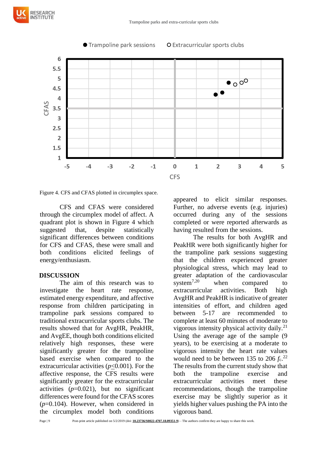

Figure 4. CFS and CFAS plotted in circumplex space.

CFS and CFAS were considered through the circumplex model of affect. A quadrant plot is shown in Figure 4 which suggested that, despite statistically significant differences between conditions for CFS and CFAS, these were small and both conditions elicited feelings of energy/enthusiasm.

#### **DISCUSSION**

**RESEARCH** 

The aim of this research was to investigate the heart rate response, estimated energy expenditure, and affective response from children participating in trampoline park sessions compared to traditional extracurricular sports clubs. The results showed that for AvgHR, PeakHR, and AvgEE, though both conditions elicited relatively high responses, these were significantly greater for the trampoline based exercise when compared to the extracurricular activities (*p*<0.001). For the affective response, the CFS results were significantly greater for the extracurricular activities  $(p=0.021)$ , but no significant differences were found for the CFAS scores (*p*=0.104). However, when considered in the circumplex model both conditions

appeared to elicit similar responses. Further, no adverse events (e.g. injuries) occurred during any of the sessions completed or were reported afterwards as having resulted from the sessions.

The results for both AvgHR and PeakHR were both significantly higher for the trampoline park sessions suggesting that the children experienced greater physiological stress, which may lead to greater adaptation of the cardiovascular system<sup>7,20</sup> when compared to extracurricular activities. Both high AvgHR and PeakHR is indicative of greater intensities of effort, and children aged between 5-17 are recommended to complete at least 60 minutes of moderate to vigorous intensity physical activity daily.<sup>21</sup> Using the average age of the sample (9 years), to be exercising at a moderate to vigorous intensity the heart rate values would need to be between 135 to 206  $f_c$ .<sup>22</sup> The results from the current study show that both the trampoline exercise and extracurricular activities meet these recommendations, though the trampoline exercise may be slightly superior as it yields higher values pushing the PA into the vigorous band.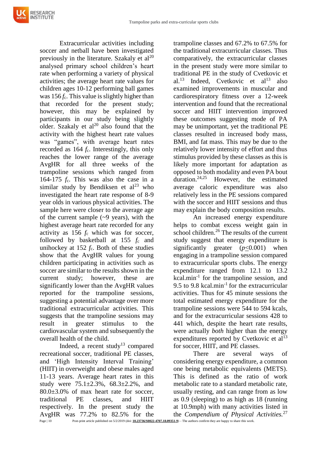

Extracurricular activities including soccer and netball have been investigated previously in the literature. Szakaly et  $al^{20}$ analysed primary school children's heart rate when performing a variety of physical activities; the average heart rate values for children ages 10-12 performing ball games was  $156 f_c$ . This value is slightly higher than that recorded for the present study; however, this may be explained by participants in our study being slightly older. Szakaly et  $al^{20}$  also found that the activity with the highest heart rate values was "games", with average heart rates recorded as 164  $f_c$ . Interestingly, this only reaches the lower range of the average AvgHR for all three weeks of the trampoline sessions which ranged from 164-175 *f*c. This was also the case in a similar study by Bendiksen et  $al<sup>23</sup>$  who investigated the heart rate response of 8-9 year olds in various physical activities. The sample here were closer to the average age of the current sample  $(-9 \text{ years})$ , with the highest average heart rate recorded for any activity as 156 *f*<sup>c</sup> which was for soccer, followed by basketball at 155 *f*<sup>c</sup> and unihockey at  $152 f_c$ . Both of these studies show that the AvgHR values for young children participating in activities such as soccer are similar to the results shown in the current study; however, these are significantly lower than the AvgHR values reported for the trampoline sessions, suggesting a potential advantage over more traditional extracurricular activities. This suggests that the trampoline sessions may result in greater stimulus to the cardiovascular system and subsequently the

overall health of the child. Indeed, a recent study<sup>13</sup> compared recreational soccer, traditional PE classes, and 'High Intensity Interval Training' (HIIT) in overweight and obese males aged 11-13 years. Average heart rates in this study were 75.1±2.3%, 68.3±2.2%, and  $80.0\pm3.0\%$  of max heart rate for soccer. traditional PE classes, and HIIT respectively. In the present study the AvgHR was 77.2% to 82.5% for the

trampoline classes and 67.2% to 67.5% for the traditional extracurricular classes. Thus comparatively, the extracurricular classes in the present study were more similar to traditional PE in the study of Cvetkovic et al.<sup>13</sup> Indeed, Cvetkovic et al<sup>13</sup> also examined improvements in muscular and cardiorespiratory fitness over a 12-week intervention and found that the recreational soccer and HIIT intervention improved these outcomes suggesting mode of PA may be unimportant, yet the traditional PE classes resulted in increased body mass, BMI, and fat mass. This may be due to the relatively lower intensity of effort and thus stimulus provided by these classes as this is likely more important for adaptation as opposed to both modality and even PA bout duration.24,25 However, the estimated average caloric expenditure was also relatively less in the PE sessions compared with the soccer and HIIT sessions and thus may explain the body composition results.

An increased energy expenditure helps to combat excess weight gain in school children.<sup>26</sup> The results of the current study suggest that energy expenditure is significantly greater (*p*<0.001) when engaging in a trampoline session compared to extracurricular sports clubs. The energy expenditure ranged from 12.1 to 13.2 kcal.min<sup>-1</sup> for the trampoline session, and 9.5 to 9.8 kcal.min<sup>-1</sup> for the extracurricular activities. Thus for 45 minute sessions the total estimated energy expenditure for the trampoline sessions were 544 to 594 kcals, and for the extracurricular sessions 428 to 441 which, despite the heart rate results, were actually *both* higher than the energy expenditures reported by Cvetkovic et  $al<sup>13</sup>$ for soccer, HIIT, and PE classes.

There are several ways of considering energy expenditure, a common one being metabolic equivalents (METS). This is defined as the ratio of work metabolic rate to a standard metabolic rate, usually resting, and can range from as low as 0.9 (sleeping) to as high as 18 (running at 10.9mph) with many activities listed in the *Compendium of Physical Activities.*<sup>27</sup>

Page | 10 Post-print article published on 5/2/2019 (doi: **[10.23736/S0022-4707.18.09351-9](https://doi.org/10.23736/S0022-4707.18.09351-9)**) – The authors confirm they are happy to share this work.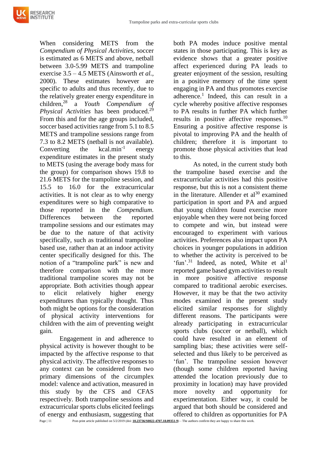When considering METS from the *Compendium of Physical Activities*, soccer is estimated as 6 METS and above, netball between 3.0-5.99 METS and trampoline exercise 3.5 – 4.5 METS (Ainsworth *et al.,* 2000). These estimates however are specific to adults and thus recently, due to the relatively greater energy expenditure in children,<sup>28</sup> a *Youth Compendium of Physical Activities* has been produced.<sup>29</sup> From this and for the age groups included, soccer based activities range from 5.1 to 8.5 METS and trampoline sessions range from 7.3 to 8.2 METS (netball is not available). Converting the  $kcal$ .min<sup>-1</sup> energy expenditure estimates in the present study to METS (using the average body mass for the group) for comparison shows 19.8 to 21.6 METS for the trampoline session, and 15.5 to 16.0 for the extracurricular activities. It is not clear as to why energy expenditures were so high comparative to those reported in the *Compendium.*  Differences between the reported trampoline sessions and our estimates may be due to the nature of that activity specifically, such as traditional trampoline based use, rather than at an indoor activity center specifically designed for this. The notion of a "trampoline park" is new and therefore comparison with the more traditional trampoline scores may not be appropriate. Both activities though appear to elicit relatively higher energy expenditures than typically thought. Thus both might be options for the consideration of physical activity interventions for children with the aim of preventing weight gain.

Engagement in and adherence to physical activity is however thought to be impacted by the affective response to that physical activity. The affective responses to any context can be considered from two primary dimensions of the circumplex model: valence and activation, measured in this study by the CFS and CFAS respectively. Both trampoline sessions and extracurricular sports clubs elicited feelings of energy and enthusiasm, suggesting that

both PA modes induce positive mental states in those participating. This is key as evidence shows that a greater positive affect experienced during PA leads to greater enjoyment of the session, resulting in a positive memory of the time spent engaging in PA and thus promotes exercise adherence.<sup>1</sup> Indeed, this can result in a cycle whereby positive affective responses to PA results in further PA which further results in positive affective responses.<sup>10</sup> Ensuring a positive affective response is pivotal to improving PA and the health of children; therefore it is important to promote those physical activities that lead to this.

As noted, in the current study both the trampoline based exercise and the extracurricular activities had this positive response, but this is not a consistent theme in the literature. Allender et  $al^{30}$  examined participation in sport and PA and argued that young children found exercise more enjoyable when they were not being forced to compete and win, but instead were encouraged to experiment with various activities. Preferences also impact upon PA choices in younger populations in addition to whether the activity is perceived to be 'fun'.<sup>31</sup> Indeed, as noted, White et  $al<sup>1</sup>$ reported game based gym activities to result in more positive affective response compared to traditional aerobic exercises. However, it may be that the two activity modes examined in the present study elicited similar responses for slightly different reasons. The participants were already participating in extracurricular sports clubs (soccer or netball), which could have resulted in an element of sampling bias; these activities were selfselected and thus likely to be perceived as 'fun'. The trampoline session however (though some children reported having attended the location previously due to proximity in location) may have provided more novelty and opportunity for experimentation. Either way, it could be argued that both should be considered and offered to children as opportunities for PA

Page | 11 Post-print article published on 5/2/2019 (doi: **[10.23736/S0022-4707.18.09351-9](https://doi.org/10.23736/S0022-4707.18.09351-9)**) – The authors confirm they are happy to share this work.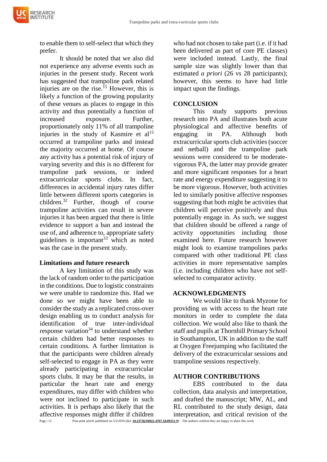to enable them to self-select that which they prefer.

It should be noted that we also did not experience any adverse events such as injuries in the present study. Recent work has suggested that trampoline park related injuries are on the rise.<sup>15</sup> However, this is likely a function of the growing popularity of these venues as places to engage in this activity and thus potentially a function of increased exposure. Further, proportionately only 11% of all trampoline injuries in the study of Kasmire et  $al<sup>15</sup>$ occurred at trampoline parks and instead the majority occurred at home. Of course any activity has a potential risk of injury of varying severity and this is no different for trampoline park sessions, or indeed extracurricular sports clubs. In fact, differences in accidental injury rates differ little between different sports categories in children.<sup>32</sup> Further, though of course trampoline activities can result in severe injuries it has been argued that there is little evidence to support a ban and instead the use of, and adherence to, appropriate safety guidelines is important $33$  which as noted was the case in the present study.

#### **Limitations and future research**

A key limitation of this study was the lack of random order to the participation in the conditions. Due to logistic constraints we were unable to randomize this. Had we done so we might have been able to consider the study as a replicated cross-over design enabling us to conduct analysis for identification of true inter-individual response variation<sup>34</sup> to understand whether certain children had better responses to certain conditions. A further limitation is that the participants were children already self-selected to engage in PA as they were already participating in extracurricular sports clubs. It may be that the results, in particular the heart rate and energy expenditures, may differ with children who were not inclined to participate in such activities. It is perhaps also likely that the affective responses might differ if children

who had not chosen to take part (i.e. if it had been delivered as part of core PE classes) were included instead. Lastly, the final sample size was slightly lower than that estimated *a priori* (26 vs 28 participants); however, this seems to have had little impact upon the findings.

#### **CONCLUSION**

This study supports previous research into PA and illustrates both acute physiological and affective benefits of engaging in PA. Although both extracurricular sports club activities (soccer and netball) and the trampoline park sessions were considered to be moderatevigorous PA, the latter may provide greater and more significant responses for a heart rate and energy expenditure suggesting it to be more vigorous. However, both activities led to similarly positive affective responses suggesting that both might be activities that children will perceive positively and thus potentially engage in. As such, we suggest that children should be offered a range of activity opportunities including those examined here. Future research however might look to examine trampolines parks compared with other traditional PE class activities in more representative samples (i.e. including children who have not selfselected to comparator activity.

#### **ACKNOWLEDGMENTS**

We would like to thank Myzone for providing us with access to the heart rate monitors in order to complete the data collection. We would also like to thank the staff and pupils at Thornhill Primary School in Southampton, UK in addition to the staff at Oxygen Freejumping who facilitated the delivery of the extracurricular sessions and trampoline sessions respectively.

#### **AUTHOR CONTRIBUTIONS**

EBS contributed to the data collection, data analysis and interpretation, and drafted the manuscript; MW, AL, and RL contributed to the study design, data interpretation, and critical revision of the

Page | 12 Post-print article published on 5/2/2019 (doi: **[10.23736/S0022-4707.18.09351-9](https://doi.org/10.23736/S0022-4707.18.09351-9)**) – The authors confirm they are happy to share this work.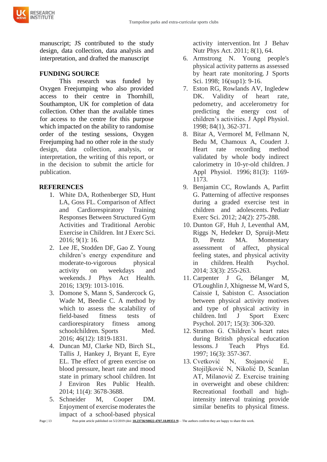

manuscript; JS contributed to the study design, data collection, data analysis and interpretation, and drafted the manuscript

# **FUNDING SOURCE**

This research was funded by Oxygen Freejumping who also provided access to their centre in Thornhill, Southampton, UK for completion of data collection. Other than the available times for access to the centre for this purpose which impacted on the ability to randomise order of the testing sessions, Oxygen Freejumping had no other role in the study design, data collection, analysis, or interpretation, the writing of this report, or in the decision to submit the article for publication.

## **REFERENCES**

- 1. White DA, Rothenberger SD, Hunt LA, Goss FL. Comparison of Affect and Cardiorespiratory Training Responses Between Structured Gym Activities and Traditional Aerobic Exercise in Children. Int J Exerc Sci. 2016; 9(1): 16.
- 2. Lee JE, Stodden DF, Gao Z. Young children's energy expenditure and moderate-to-vigorous physical activity on weekdays and weekends. J Phys Act Health. 2016; 13(9): 1013-1016.
- 3. Domone S, Mann S, Sandercock G, Wade M, Beedie C. A method by which to assess the scalability of field-based fitness tests of cardiorespiratory fitness among schoolchildren. Sports Med. 2016; 46(12): 1819-1831.
- 4. Duncan MJ, Clarke ND, Birch SL, Tallis J, Hankey J, Bryant E, Eyre EL. The effect of green exercise on blood pressure, heart rate and mood state in primary school children. Int J Environ Res Public Health. 2014; 11(4): 3678-3688.
- 5. Schneider M, Cooper DM. Enjoyment of exercise moderates the impact of a school-based physical

activity intervention. Int J Behav Nutr Phys Act. 2011; 8(1), 64.

- 6. Armstrong N. Young people's physical activity patterns as assessed by heart rate monitoring. J Sports Sci. 1998; 16(sup1): 9-16.
- 7. Eston RG, Rowlands AV, Ingledew DK. Validity of heart rate, pedometry, and accelerometry for predicting the energy cost of children's activities. J Appl Physiol. 1998; 84(1), 362-371.
- 8. Bitar A, Vermorel M, Fellmann N, Bedu M, Chamoux A, Coudert J. Heart rate recording method validated by whole body indirect calorimetry in 10-yr-old children. J Appl Physiol. 1996; 81(3): 1169- 1173.
- 9. Benjamin CC, Rowlands A, Parfitt G. Patterning of affective responses during a graded exercise test in children and adolescents. Pediatr Exerc Sci. 2012; 24(2): 275-288.
- 10. Dunton GF, Huh J, Leventhal AM, Riggs N, Hedeker D, Spruijt-Metz D, Pentz MA. Momentary assessment of affect, physical feeling states, and physical activity in children. Health Psychol. 2014; 33(3): 255-263.
- 11. Carpenter J G, Bélanger M, O'Loughlin J, Xhignesse M, Ward S, Caissie I, Sabiston C. Association between physical activity motives and type of physical activity in children. Intl J Sport Exerc Psychol. 2017; 15(3): 306-320.
- 12. Stratton G. Children's heart rates during British physical education lessons. J Teach Phys Ed. 1997; 16(3): 357-367.
- 13. Cvetković N, Stojanović E, Stojiljković N, Nikolić D, Scanlan AT, Milanović Z. Exercise training in overweight and obese children: Recreational football and highintensity interval training provide similar benefits to physical fitness.

Page | 13 Post-print article published on 5/2/2019 (doi: **[10.23736/S0022-4707.18.09351-9](https://doi.org/10.23736/S0022-4707.18.09351-9)**) – The authors confirm they are happy to share this work.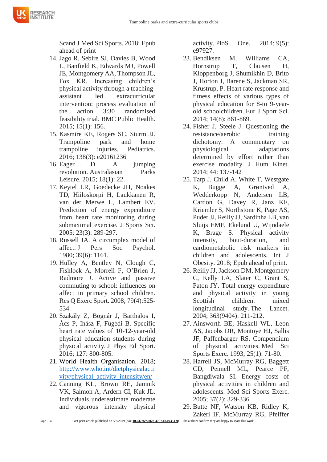Scand J Med Sci Sports. 2018; Epub ahead of print

**RESEARCH NSTITUTE** 

- 14. Jago R, Sebire SJ, Davies B, Wood L, Banfield K, Edwards MJ, Powell JE, Montgomery AA, Thompson JL, Fox KR. Increasing children's physical activity through a teachingassistant led extracurricular intervention: process evaluation of the action 3:30 randomised feasibility trial. BMC Public Health. 2015; 15(1): 156.
- 15. Kasmire KE, Rogers SC, Sturm JJ. Trampoline park and home trampoline injuries. Pediatrics. 2016; 138(3): e20161236
- 16. Eager D. A jumping revolution. Australasian Parks Leisure. 2015; 18(1): 22.
- 17. Keytel LR, Goedecke JH, Noakes TD, Hiiloskorpi H, Laukkanen R, van der Merwe L, Lambert EV. Prediction of energy expenditure from heart rate monitoring during submaximal exercise. J Sports Sci. 2005; 23(3): 289-297.
- 18. Russell JA. A circumplex model of affect. J Pers Soc Psychol. 1980; 39(6): 1161.
- 19. Hulley A, Bentley N, Clough C, Fishlock A, Morrell F, O'Brien J, Radmore J. Active and passive commuting to school: influences on affect in primary school children. Res Q Exerc Sport. 2008; 79(4):525- 534.
- 20. Szakály Z, Bognár J, Barthalos I, Ács P, Ihász F, Fügedi B. Specific heart rate values of 10-12-year-old physical education students during physical activity. J Phys Ed Sport. 2016; 127: 800-805.
- 21. World Health Organisation. 2018; [http://www.who.int/dietphysicalacti](http://www.who.int/dietphysicalactivity/physical_activity_intensity/en/) [vity/physical\\_activity\\_intensity/en/](http://www.who.int/dietphysicalactivity/physical_activity_intensity/en/)
- 22. Canning KL, Brown RE, Jamnik VK, Salmon A, Ardern CI, Kuk JL. Individuals underestimate moderate and vigorous intensity physical

activity. PloS One. 2014; 9(5): e97927.

- 23. Bendiksen M, Williams CA, Hornstrup T, Clausen H, Kloppenborg J, Shumikhin D, Brito J, Horton J, Barene S, Jackman SR, Krustrup, P. Heart rate response and fitness effects of various types of physical education for 8-to 9-yearold schoolchildren. Eur J Sport Sci. 2014; 14(8): 861-869.
- 24. Fisher J, Steele J. Questioning the resistance/aerobic training dichotomy: A commentary on physiological adaptations determined by effort rather than exercise modality. J Hum Kinet. 2014; 44: 137-142
- 25. Tarp J, Child A, White T, Westgate K, Bugge A, Grøntved A, Wedderkopp N, Andersen LB, Cardon G, Davey R, Janz KF, Kriemler S, Northstone K, Page AS, Puder JJ, Reilly JJ, Sardinha LB, van Sluijs EMF, Ekelund U, Wijndaele K, Brage S. Physical activity intensity, bout-duration, and cardiometabolic risk markers in children and adolescents. Int J Obesity. 2018; Epub ahead of print.
- 26. Reilly JJ, Jackson DM, Montgomery C, Kelly LA, Slater C, Grant S, Paton JY. Total energy expenditure and physical activity in young Scottish children: mixed longitudinal study. The Lancet. 2004; 363(9404): 211-212.
- 27. Ainsworth BE, Haskell WL, Leon AS, Jacobs DR, Montoye HJ, Sallis JF, Paffenbarger RS. Compendium of physical activities. Med Sci Sports Exerc. 1993; 25(1): 71-80.
- 28. Harrell JS, McMurray RG, Baggett CD, Pennell ML, Pearce PF, Bangdiwala SI. Energy costs of physical activities in children and adolescents. Med Sci Sports Exerc. 2005; 37(2): 329-336
- 29. Butte NF, Watson KB, Ridley K, Zakeri IF, McMurray RG, Pfeiffer